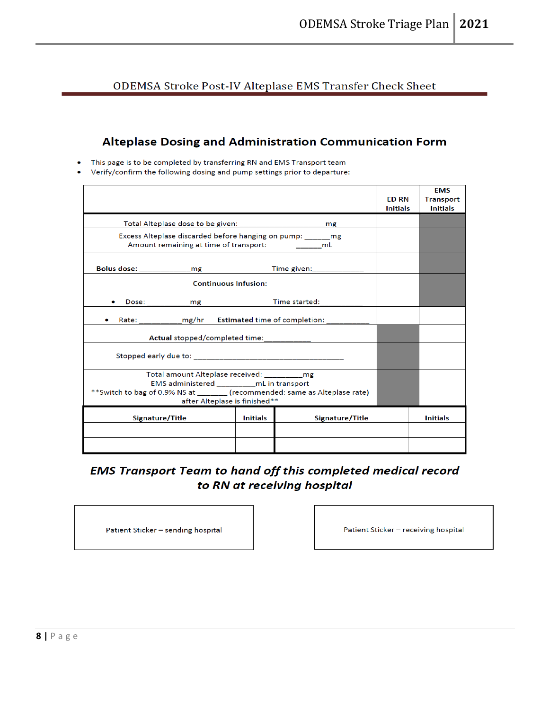ODEMSA Stroke Post-IV Alteplase EMS Transfer Check Sheet

#### Alteplase Dosing and Administration Communication Form

This page is to be completed by transferring RN and EMS Transport team

Verify/confirm the following dosing and pump settings prior to departure:

|                                                                                                                                                                                                   |                 |                           | <b>ED RN</b><br><b>Initials</b> | <b>EMS</b><br><b>Transport</b><br><b>Initials</b> |
|---------------------------------------------------------------------------------------------------------------------------------------------------------------------------------------------------|-----------------|---------------------------|---------------------------------|---------------------------------------------------|
|                                                                                                                                                                                                   |                 |                           |                                 |                                                   |
| Excess Alteplase discarded before hanging on pump: mg<br>Amount remaining at time of transport: __________mL                                                                                      |                 |                           |                                 |                                                   |
| Bolus dose: ________________mg                                                                                                                                                                    |                 | Time given: _____________ |                                 |                                                   |
| <b>Continuous Infusion:</b>                                                                                                                                                                       |                 |                           |                                 |                                                   |
| $\bullet$                                                                                                                                                                                         |                 |                           |                                 |                                                   |
| Rate: ______________mg/hr Estimated time of completion: ____________                                                                                                                              |                 |                           |                                 |                                                   |
| Actual stopped/completed time:____________                                                                                                                                                        |                 |                           |                                 |                                                   |
|                                                                                                                                                                                                   |                 |                           |                                 |                                                   |
| Total amount Alteplase received: __________mg<br>EMS administered mL in transport<br>**Switch to bag of 0.9% NS at _______ (recommended: same as Alteplase rate)<br>after Alteplase is finished** |                 |                           |                                 |                                                   |
| Signature/Title                                                                                                                                                                                   | <b>Initials</b> | Signature/Title           |                                 | <b>Initials</b>                                   |
|                                                                                                                                                                                                   |                 |                           |                                 |                                                   |
|                                                                                                                                                                                                   |                 |                           |                                 |                                                   |

#### **EMS Transport Team to hand off this completed medical record** to RN at receiving hospital

Patient Sticker - sending hospital

Patient Sticker - receiving hospital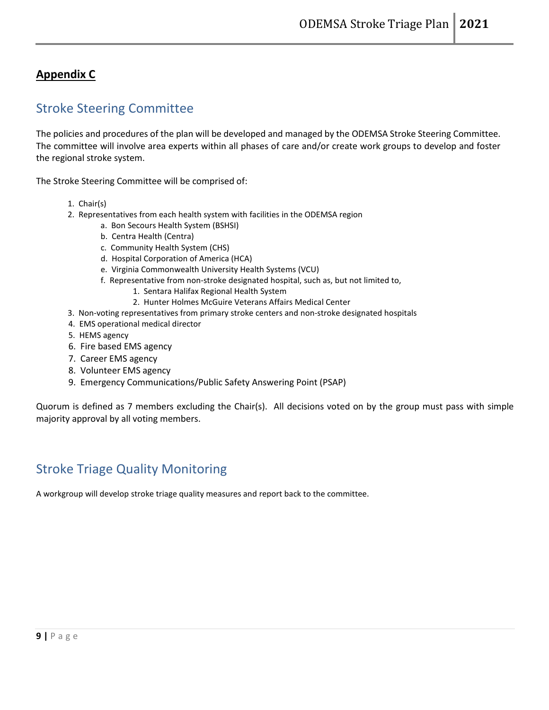#### **Appendix C**

### Stroke Steering Committee

The policies and procedures of the plan will be developed and managed by the ODEMSA Stroke Steering Committee. The committee will involve area experts within all phases of care and/or create work groups to develop and foster the regional stroke system.

The Stroke Steering Committee will be comprised of:

- 1. Chair(s)
- 2. Representatives from each health system with facilities in the ODEMSA region
	- a. Bon Secours Health System (BSHSI)
	- b. Centra Health (Centra)
	- c. Community Health System (CHS)
	- d. Hospital Corporation of America (HCA)
	- e. Virginia Commonwealth University Health Systems (VCU)
	- f. Representative from non-stroke designated hospital, such as, but not limited to,
		- 1. Sentara Halifax Regional Health System
		- 2. Hunter Holmes McGuire Veterans Affairs Medical Center
- 3. Non-voting representatives from primary stroke centers and non-stroke designated hospitals
- 4. EMS operational medical director
- 5. HEMS agency
- 6. Fire based EMS agency
- 7. Career EMS agency
- 8. Volunteer EMS agency
- 9. Emergency Communications/Public Safety Answering Point (PSAP)

Quorum is defined as 7 members excluding the Chair(s). All decisions voted on by the group must pass with simple majority approval by all voting members.

## Stroke Triage Quality Monitoring

A workgroup will develop stroke triage quality measures and report back to the committee.